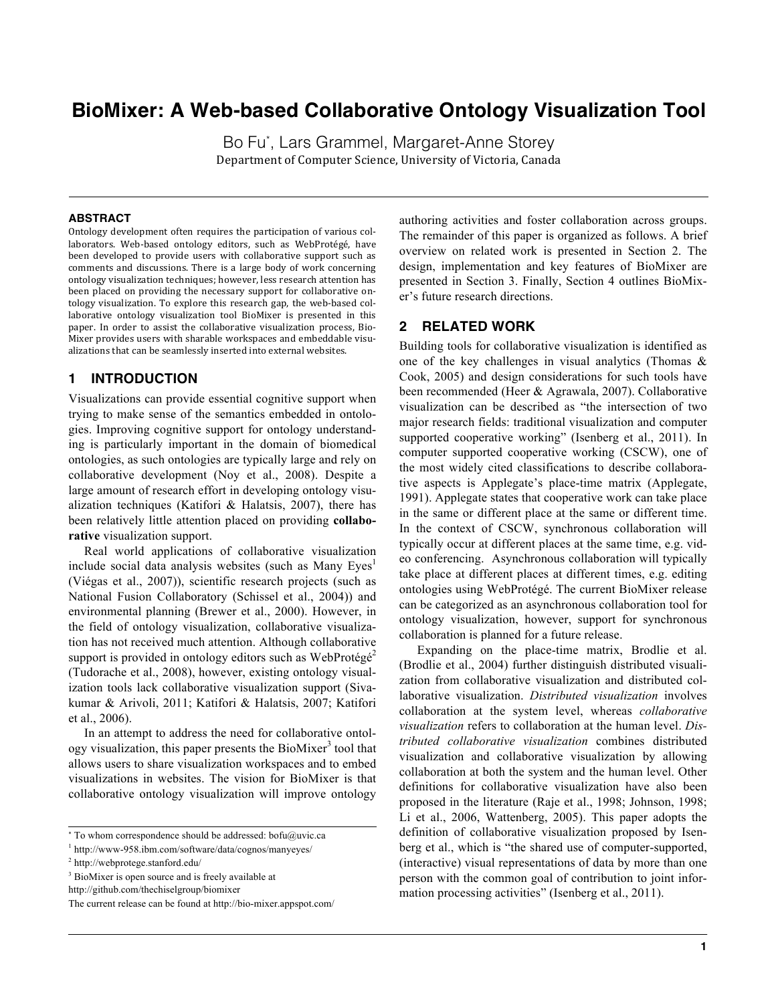# **BioMixer: A Web-based Collaborative Ontology Visualization Tool**

Bo Fu\* , Lars Grammel, Margaret-Anne Storey Department of Computer Science, University of Victoria, Canada

#### **ABSTRACT**

Ontology development often requires the participation of various collaborators. Web-based ontology editors, such as WebProtégé, have been developed to provide users with collaborative support such as comments and discussions. There is a large body of work concerning ontology visualization techniques; however, less research attention has been placed on providing the necessary support for collaborative ontology visualization. To explore this research gap, the web-based collaborative ontology visualization tool BioMixer is presented in this paper. In order to assist the collaborative visualization process, Bio-Mixer provides users with sharable workspaces and embeddable visualizations that can be seamlessly inserted into external websites.

## **1 INTRODUCTION**

Visualizations can provide essential cognitive support when trying to make sense of the semantics embedded in ontologies. Improving cognitive support for ontology understanding is particularly important in the domain of biomedical ontologies, as such ontologies are typically large and rely on collaborative development (Noy et al., 2008). Despite a large amount of research effort in developing ontology visualization techniques (Katifori & Halatsis, 2007), there has been relatively little attention placed on providing **collaborative** visualization support.

 Real world applications of collaborative visualization include social data analysis websites (such as Many  $Eyes<sup>1</sup>$ (Viégas et al., 2007)), scientific research projects (such as National Fusion Collaboratory (Schissel et al., 2004)) and environmental planning (Brewer et al., 2000). However, in the field of ontology visualization, collaborative visualization has not received much attention. Although collaborative support is provided in ontology editors such as WebProtégé<sup>2</sup> (Tudorache et al., 2008), however, existing ontology visualization tools lack collaborative visualization support (Sivakumar & Arivoli, 2011; Katifori & Halatsis, 2007; Katifori et al., 2006).

 In an attempt to address the need for collaborative ontology visualization, this paper presents the BioMixer<sup>3</sup> tool that allows users to share visualization workspaces and to embed visualizations in websites. The vision for BioMixer is that collaborative ontology visualization will improve ontology

http://github.com/thechiselgroup/biomixer

authoring activities and foster collaboration across groups. The remainder of this paper is organized as follows. A brief overview on related work is presented in Section 2. The design, implementation and key features of BioMixer are presented in Section 3. Finally, Section 4 outlines BioMixer's future research directions.

## **2 RELATED WORK**

Building tools for collaborative visualization is identified as one of the key challenges in visual analytics (Thomas & Cook, 2005) and design considerations for such tools have been recommended (Heer & Agrawala, 2007). Collaborative visualization can be described as "the intersection of two major research fields: traditional visualization and computer supported cooperative working" (Isenberg et al., 2011). In computer supported cooperative working (CSCW), one of the most widely cited classifications to describe collaborative aspects is Applegate's place-time matrix (Applegate, 1991). Applegate states that cooperative work can take place in the same or different place at the same or different time. In the context of CSCW, synchronous collaboration will typically occur at different places at the same time, e.g. video conferencing. Asynchronous collaboration will typically take place at different places at different times, e.g. editing ontologies using WebProtégé. The current BioMixer release can be categorized as an asynchronous collaboration tool for ontology visualization, however, support for synchronous collaboration is planned for a future release.

Expanding on the place-time matrix, Brodlie et al. (Brodlie et al., 2004) further distinguish distributed visualization from collaborative visualization and distributed collaborative visualization. *Distributed visualization* involves collaboration at the system level, whereas *collaborative visualization* refers to collaboration at the human level. *Distributed collaborative visualization* combines distributed visualization and collaborative visualization by allowing collaboration at both the system and the human level. Other definitions for collaborative visualization have also been proposed in the literature (Raje et al., 1998; Johnson, 1998; Li et al., 2006, Wattenberg, 2005). This paper adopts the definition of collaborative visualization proposed by Isenberg et al., which is "the shared use of computer-supported, (interactive) visual representations of data by more than one person with the common goal of contribution to joint information processing activities" (Isenberg et al., 2011).

<sup>\*</sup> To whom correspondence should be addressed: bofu@uvic.ca

<sup>1</sup> http://www-958.ibm.com/software/data/cognos/manyeyes/

<sup>2</sup> http://webprotege.stanford.edu/

<sup>&</sup>lt;sup>3</sup> BioMixer is open source and is freely available at

The current release can be found at http://bio-mixer.appspot.com/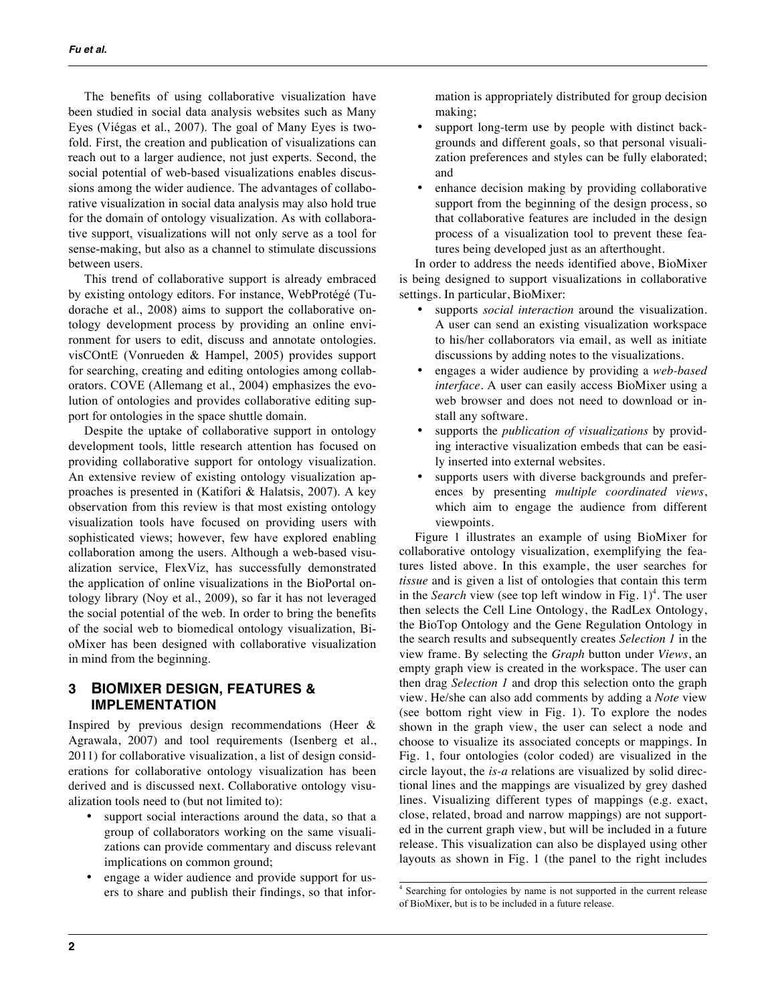The benefits of using collaborative visualization have been studied in social data analysis websites such as Many Eyes (Viégas et al., 2007). The goal of Many Eyes is twofold. First, the creation and publication of visualizations can reach out to a larger audience, not just experts. Second, the social potential of web-based visualizations enables discussions among the wider audience. The advantages of collaborative visualization in social data analysis may also hold true for the domain of ontology visualization. As with collaborative support, visualizations will not only serve as a tool for sense-making, but also as a channel to stimulate discussions between users.

 This trend of collaborative support is already embraced by existing ontology editors. For instance, WebProtégé (Tudorache et al., 2008) aims to support the collaborative ontology development process by providing an online environment for users to edit, discuss and annotate ontologies. visCOntE (Vonrueden & Hampel, 2005) provides support for searching, creating and editing ontologies among collaborators. COVE (Allemang et al., 2004) emphasizes the evolution of ontologies and provides collaborative editing support for ontologies in the space shuttle domain.

 Despite the uptake of collaborative support in ontology development tools, little research attention has focused on providing collaborative support for ontology visualization. An extensive review of existing ontology visualization approaches is presented in (Katifori & Halatsis, 2007). A key observation from this review is that most existing ontology visualization tools have focused on providing users with sophisticated views; however, few have explored enabling collaboration among the users. Although a web-based visualization service, FlexViz, has successfully demonstrated the application of online visualizations in the BioPortal ontology library (Noy et al., 2009), so far it has not leveraged the social potential of the web. In order to bring the benefits of the social web to biomedical ontology visualization, BioMixer has been designed with collaborative visualization in mind from the beginning.

## **3 BIOMIXER DESIGN, FEATURES & IMPLEMENTATION**

Inspired by previous design recommendations (Heer & Agrawala, 2007) and tool requirements (Isenberg et al., 2011) for collaborative visualization, a list of design considerations for collaborative ontology visualization has been derived and is discussed next. Collaborative ontology visualization tools need to (but not limited to):

- support social interactions around the data, so that a group of collaborators working on the same visualizations can provide commentary and discuss relevant implications on common ground;
- engage a wider audience and provide support for users to share and publish their findings, so that infor-

mation is appropriately distributed for group decision making;

- support long-term use by people with distinct backgrounds and different goals, so that personal visualization preferences and styles can be fully elaborated; and
- enhance decision making by providing collaborative support from the beginning of the design process, so that collaborative features are included in the design process of a visualization tool to prevent these features being developed just as an afterthought.

 In order to address the needs identified above, BioMixer is being designed to support visualizations in collaborative settings. In particular, BioMixer:

- supports *social interaction* around the visualization. A user can send an existing visualization workspace to his/her collaborators via email, as well as initiate discussions by adding notes to the visualizations.
- engages a wider audience by providing a *web-based interface*. A user can easily access BioMixer using a web browser and does not need to download or install any software.
- supports the *publication of visualizations* by providing interactive visualization embeds that can be easily inserted into external websites.
- supports users with diverse backgrounds and preferences by presenting *multiple coordinated views*, which aim to engage the audience from different viewpoints.

 Figure 1 illustrates an example of using BioMixer for collaborative ontology visualization, exemplifying the features listed above. In this example, the user searches for *tissue* and is given a list of ontologies that contain this term in the *Search* view (see top left window in Fig. 1) 4 . The user then selects the Cell Line Ontology, the RadLex Ontology, the BioTop Ontology and the Gene Regulation Ontology in the search results and subsequently creates *Selection 1* in the view frame. By selecting the *Graph* button under *Views*, an empty graph view is created in the workspace. The user can then drag *Selection 1* and drop this selection onto the graph view. He/she can also add comments by adding a *Note* view (see bottom right view in Fig. 1). To explore the nodes shown in the graph view, the user can select a node and choose to visualize its associated concepts or mappings. In Fig. 1, four ontologies (color coded) are visualized in the circle layout, the *is-a* relations are visualized by solid directional lines and the mappings are visualized by grey dashed lines. Visualizing different types of mappings (e.g. exact, close, related, broad and narrow mappings) are not supported in the current graph view, but will be included in a future release. This visualization can also be displayed using other layouts as shown in Fig. 1 (the panel to the right includes

<sup>4</sup> Searching for ontologies by name is not supported in the current release of BioMixer, but is to be included in a future release.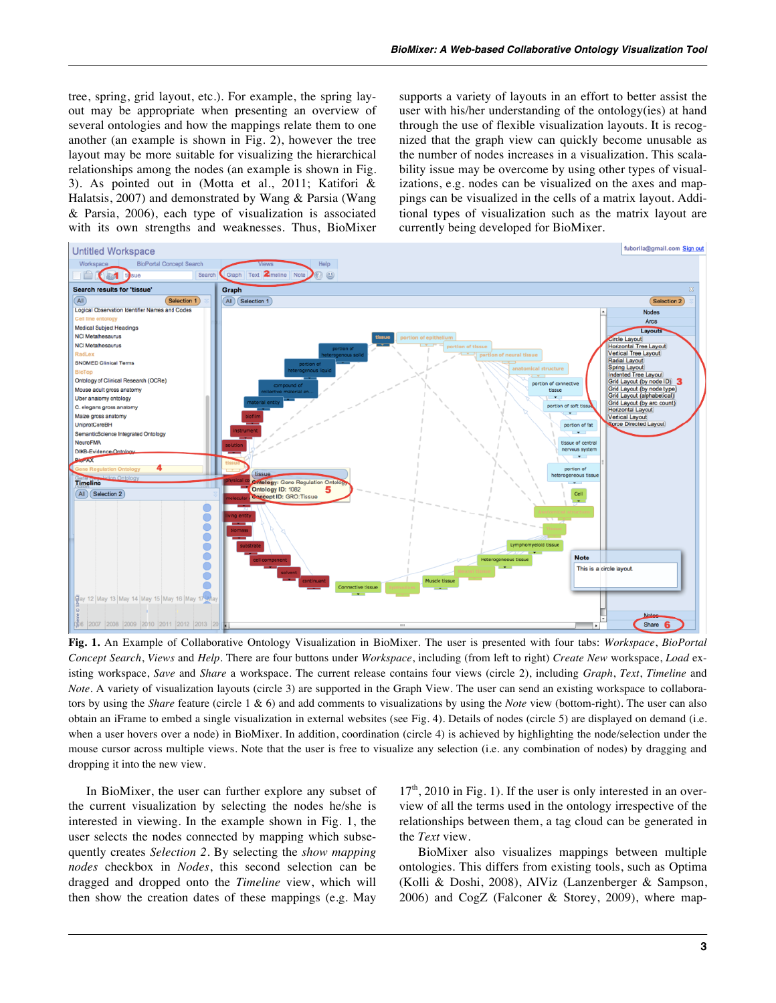tree, spring, grid layout, etc.). For example, the spring layout may be appropriate when presenting an overview of several ontologies and how the mappings relate them to one another (an example is shown in Fig. 2), however the tree layout may be more suitable for visualizing the hierarchical relationships among the nodes (an example is shown in Fig. 3). As pointed out in (Motta et al., 2011; Katifori & Halatsis, 2007) and demonstrated by Wang & Parsia (Wang & Parsia, 2006), each type of visualization is associated with its own strengths and weaknesses. Thus, BioMixer supports a variety of layouts in an effort to better assist the user with his/her understanding of the ontology(ies) at hand through the use of flexible visualization layouts. It is recognized that the graph view can quickly become unusable as the number of nodes increases in a visualization. This scalability issue may be overcome by using other types of visualizations, e.g. nodes can be visualized on the axes and mappings can be visualized in the cells of a matrix layout. Additional types of visualization such as the matrix layout are currently being developed for BioMixer.



**Fig. 1.** An Example of Collaborative Ontology Visualization in BioMixer. The user is presented with four tabs: *Workspace*, *BioPortal Concept Search*, *Views* and *Help*. There are four buttons under *Workspace*, including (from left to right) *Create New* workspace, *Load* existing workspace, *Save* and *Share* a workspace. The current release contains four views (circle 2), including *Graph*, *Text*, *Timeline* and *Note*. A variety of visualization layouts (circle 3) are supported in the Graph View. The user can send an existing workspace to collaborators by using the *Share* feature (circle 1 & 6) and add comments to visualizations by using the *Note* view (bottom-right). The user can also obtain an iFrame to embed a single visualization in external websites (see Fig. 4). Details of nodes (circle 5) are displayed on demand (i.e. when a user hovers over a node) in BioMixer. In addition, coordination (circle 4) is achieved by highlighting the node/selection under the mouse cursor across multiple views. Note that the user is free to visualize any selection (i.e. any combination of nodes) by dragging and dropping it into the new view.

In BioMixer, the user can further explore any subset of the current visualization by selecting the nodes he/she is interested in viewing. In the example shown in Fig. 1, the user selects the nodes connected by mapping which subsequently creates *Selection 2*. By selecting the *show mapping nodes* checkbox in *Nodes*, this second selection can be dragged and dropped onto the *Timeline* view, which will then show the creation dates of these mappings (e.g. May

 $17<sup>th</sup>$ , 2010 in Fig. 1). If the user is only interested in an overview of all the terms used in the ontology irrespective of the relationships between them, a tag cloud can be generated in the *Text* view.

 BioMixer also visualizes mappings between multiple ontologies. This differs from existing tools, such as Optima (Kolli & Doshi, 2008), AlViz (Lanzenberger & Sampson, 2006) and CogZ (Falconer & Storey, 2009), where map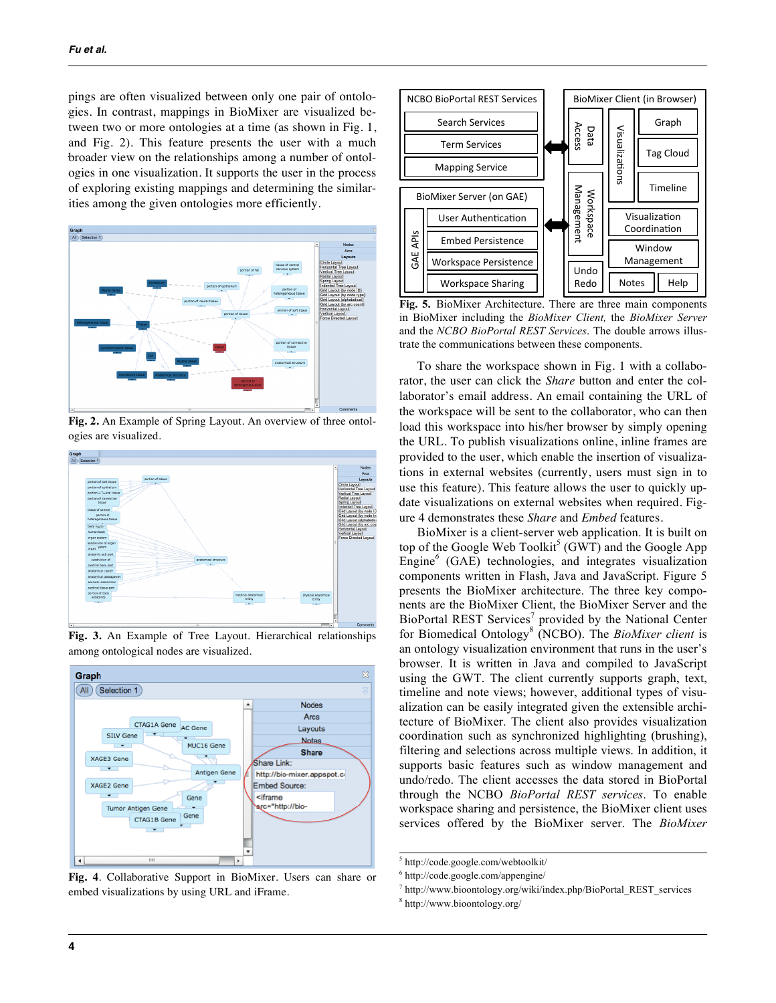pings are often visualized between only one pair of ontologies. In contrast, mappings in BioMixer are visualized between two or more ontologies at a time (as shown in Fig. 1, and Fig. 2). This feature presents the user with a much broader view on the relationships among a number of ontologies in one visualization. It supports the user in the process of exploring existing mappings and determining the similarities among the given ontologies more efficiently.



**Fig. 2.** An Example of Spring Layout. An overview of three ontologies are visualized.



**Fig. 3.** An Example of Tree Layout. Hierarchical relationships among ontological nodes are visualized.



**Fig. 4**. Collaborative Support in BioMixer. Users can share or embed visualizations by using URL and iFrame.



**Fig. 5.** BioMixer Architecture. There are three main components in BioMixer including the *BioMixer Client,* the *BioMixer Server* and the *NCBO BioPortal REST Services*. The double arrows illustrate the communications between these components.

To share the workspace shown in Fig. 1 with a collaborator, the user can click the *Share* button and enter the collaborator's email address. An email containing the URL of the workspace will be sent to the collaborator, who can then load this workspace into his/her browser by simply opening the URL. To publish visualizations online, inline frames are provided to the user, which enable the insertion of visualizations in external websites (currently, users must sign in to use this feature). This feature allows the user to quickly update visualizations on external websites when required. Figure 4 demonstrates these *Share* and *Embed* features.

BioMixer is a client-server web application. It is built on top of the Google Web Toolkit<sup>5</sup> (GWT) and the Google App Engine*<sup>6</sup>* (GAE) technologies, and integrates visualization components written in Flash, Java and JavaScript. Figure 5 presents the BioMixer architecture. The three key components are the BioMixer Client, the BioMixer Server and the BioPortal REST Services<sup>7</sup> provided by the National Center for Biomedical Ontology<sup>8</sup> (NCBO). The *BioMixer client* is an ontology visualization environment that runs in the user's browser. It is written in Java and compiled to JavaScript using the GWT. The client currently supports graph, text, timeline and note views; however, additional types of visualization can be easily integrated given the extensible architecture of BioMixer. The client also provides visualization coordination such as synchronized highlighting (brushing), filtering and selections across multiple views. In addition, it supports basic features such as window management and undo/redo. The client accesses the data stored in BioPortal through the NCBO *BioPortal REST services*. To enable workspace sharing and persistence, the BioMixer client uses services offered by the BioMixer server. The *BioMixer* 

<sup>5</sup> http://code.google.com/webtoolkit/

<sup>6</sup> http://code.google.com/appengine/

 $\alpha$ <sup>7</sup> http://www.bioontology.org/wiki/index.php/BioPortal\_REST\_services

<sup>8</sup> http://www.bioontology.org/